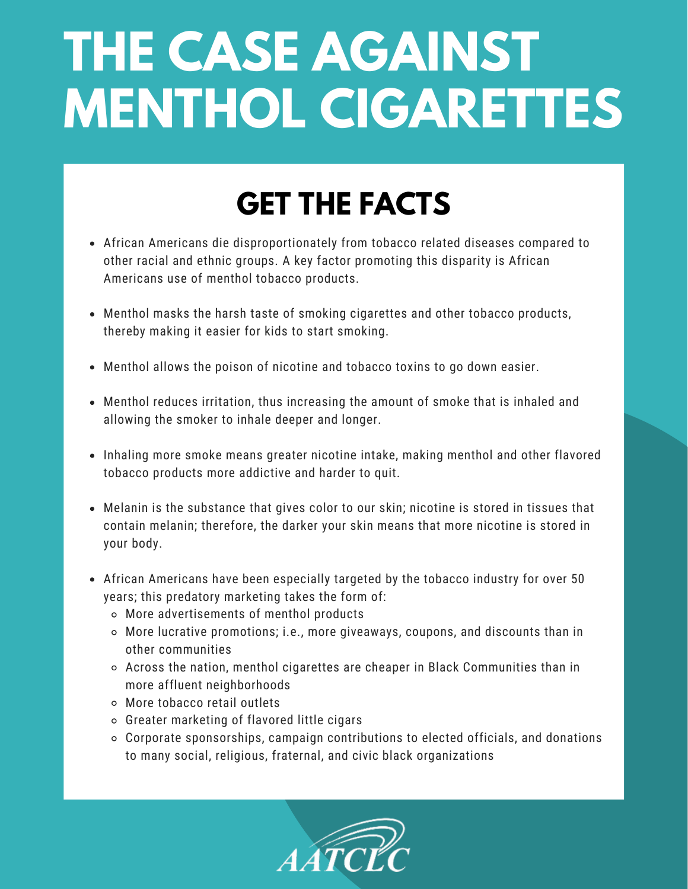## **THE CASE AGAINST MENTHOL CIGARETTES**

## **GET THE FACTS**

- African Americans die disproportionately from tobacco related diseases compared to other racial and ethnic groups. A key factor promoting this disparity is African Americans use of menthol tobacco products.
- Menthol masks the harsh taste of smoking cigarettes and other tobacco products, thereby making it easier for kids to start smoking.
- Menthol allows the poison of nicotine and tobacco toxins to go down easier.
- Menthol reduces irritation, thus increasing the amount of smoke that is inhaled and allowing the smoker to inhale deeper and longer.
- Inhaling more smoke means greater nicotine intake, making menthol and other flavored tobacco products more addictive and harder to quit.
- Melanin is the substance that gives color to our skin; nicotine is stored in tissues that contain melanin; therefore, the darker your skin means that more nicotine is stored in your body.
- African Americans have been especially targeted by the tobacco industry for over 50 years; this predatory marketing takes the form of:
	- More advertisements of menthol products
	- More lucrative promotions; i.e., more giveaways, coupons, and discounts than in other communities
	- Across the nation, menthol cigarettes are cheaper in Black Communities than in more affluent neighborhoods
	- More tobacco retail outlets
	- Greater marketing of flavored little cigars
	- Corporate sponsorships, campaign contributions to elected officials, and donations to many social, religious, fraternal, and civic black organizations